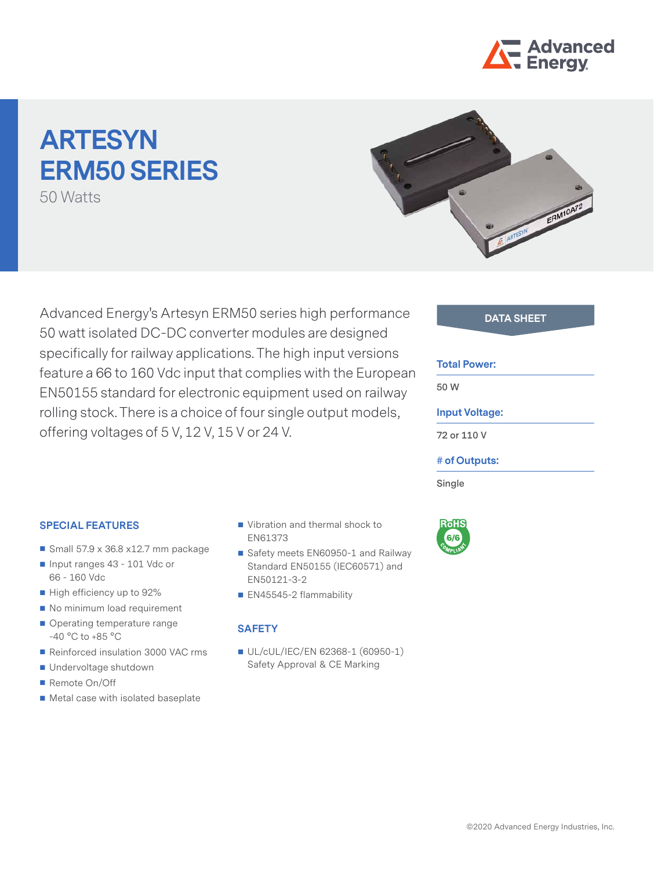

# **ARTESYN ERM50 Series**

50 Watts



Advanced Energy's Artesyn ERM50 series high performance 50 watt isolated DC-DC converter modules are designed specifically for railway applications. The high input versions feature a 66 to 160 Vdc input that complies with the European EN50155 standard for electronic equipment used on railway rolling stock. There is a choice of four single output models, offering voltages of 5 V, 12 V, 15 V or 24 V.

#### **DATA SHEET**

#### **Total Power:**

**50 W**

## **Input Voltage:**

**72 or 110 V**

## **# of Outputs:**

**Single**



#### **Special features**

- $\blacksquare$  Small 57.9 x 36.8 x12.7 mm package
- Input ranges 43 101 Vdc or 66 - 160 Vdc
- High efficiency up to 92%
- No minimum load requirement
- Operating temperature range -40 °C to +85 °C
- Reinforced insulation 3000 VAC rms
- Undervoltage shutdown
- Remote On/Off
- $\blacksquare$  Metal case with isolated baseplate
- Vibration and thermal shock to EN61373
- Safety meets EN60950-1 and Railway Standard EN50155 (IEC60571) and EN50121-3-2
- EN45545-2 flammability

## **SAFETY**

UL/cUL/IEC/EN 62368-1 (60950-1) Safety Approval & CE Marking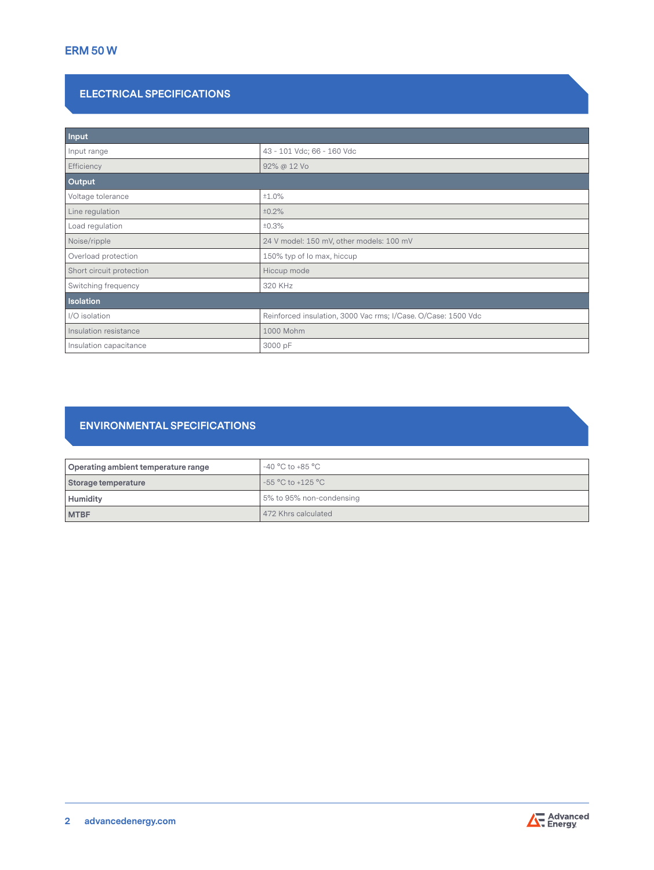# **Electrical Specifications**

| Input                    |                                                               |  |  |  |  |
|--------------------------|---------------------------------------------------------------|--|--|--|--|
| Input range              | 43 - 101 Vdc; 66 - 160 Vdc                                    |  |  |  |  |
| Efficiency               | 92% @ 12 Vo                                                   |  |  |  |  |
| Output                   |                                                               |  |  |  |  |
| Voltage tolerance        | $±1.0\%$                                                      |  |  |  |  |
| Line regulation          | ±0.2%                                                         |  |  |  |  |
| Load regulation          | ±0.3%                                                         |  |  |  |  |
| Noise/ripple             | 24 V model: 150 mV, other models: 100 mV                      |  |  |  |  |
| Overload protection      | 150% typ of Io max, hiccup                                    |  |  |  |  |
| Short circuit protection | Hiccup mode                                                   |  |  |  |  |
| Switching frequency      | 320 KHz                                                       |  |  |  |  |
| <b>Isolation</b>         |                                                               |  |  |  |  |
| I/O isolation            | Reinforced insulation, 3000 Vac rms; I/Case. O/Case: 1500 Vdc |  |  |  |  |
| Insulation resistance    | 1000 Mohm                                                     |  |  |  |  |
| Insulation capacitance   | 3000 pF                                                       |  |  |  |  |

# **Environmental Specifications**

| Operating ambient temperature range | $-40 °C$ to $+85 °C$                 |
|-------------------------------------|--------------------------------------|
| Storage temperature                 | $-55^{\circ}$ C to +125 $^{\circ}$ C |
| <b>Humidity</b>                     | 5% to 95% non-condensing             |
| <b>MTBF</b>                         | 472 Khrs calculated                  |

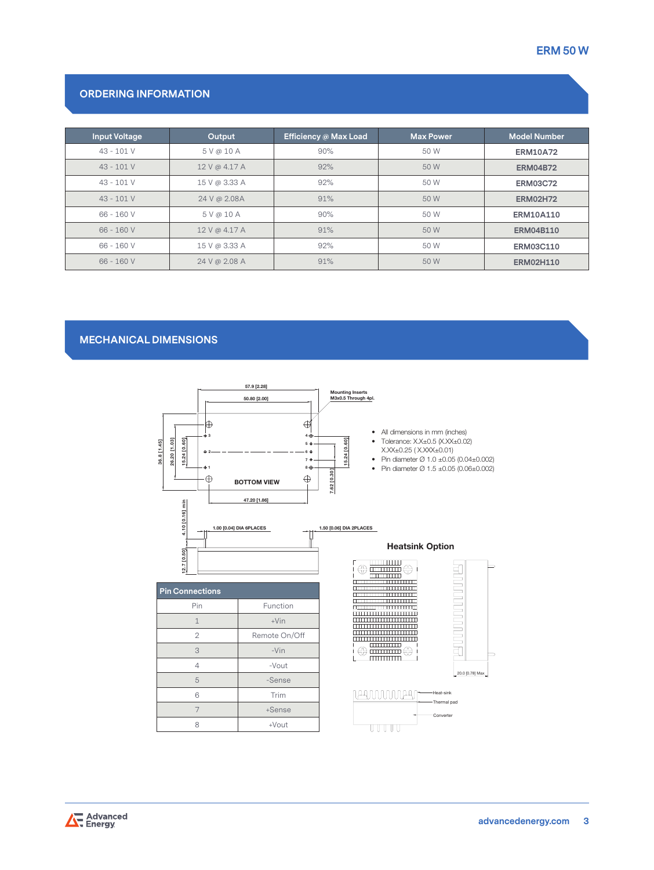# **Ordering Information**

| <b>Input Voltage</b> | Output        | Efficiency @ Max Load | <b>Max Power</b> | <b>Model Number</b> |
|----------------------|---------------|-----------------------|------------------|---------------------|
| $43 - 101V$          | 5V@10A        | 90%                   | 50 W             | <b>ERM10A72</b>     |
| $43 - 101V$          | 12 V @ 4.17 A | 92%                   | 50 W             | <b>ERM04B72</b>     |
| $43 - 101V$          | 15 V @ 3.33 A | 92%                   | 50 W             | <b>ERM03C72</b>     |
| $43 - 101V$          | 24 V @ 2.08A  | 91%                   | 50 W             | <b>ERM02H72</b>     |
| $66 - 160V$          | 5V@10A        | 90%                   | 50 W             | <b>ERM10A110</b>    |
| $66 - 160V$          | 12 V @ 4.17 A | 91%                   | 50 W             | <b>ERM04B110</b>    |
| $66 - 160V$          | 15 V @ 3.33 A | 92%                   | 50 W             | <b>ERM03C110</b>    |
| $66 - 160V$          | 24 V @ 2.08 A | 91%                   | 50 W             | <b>ERM02H110</b>    |

## **Mechanical Dimensions**